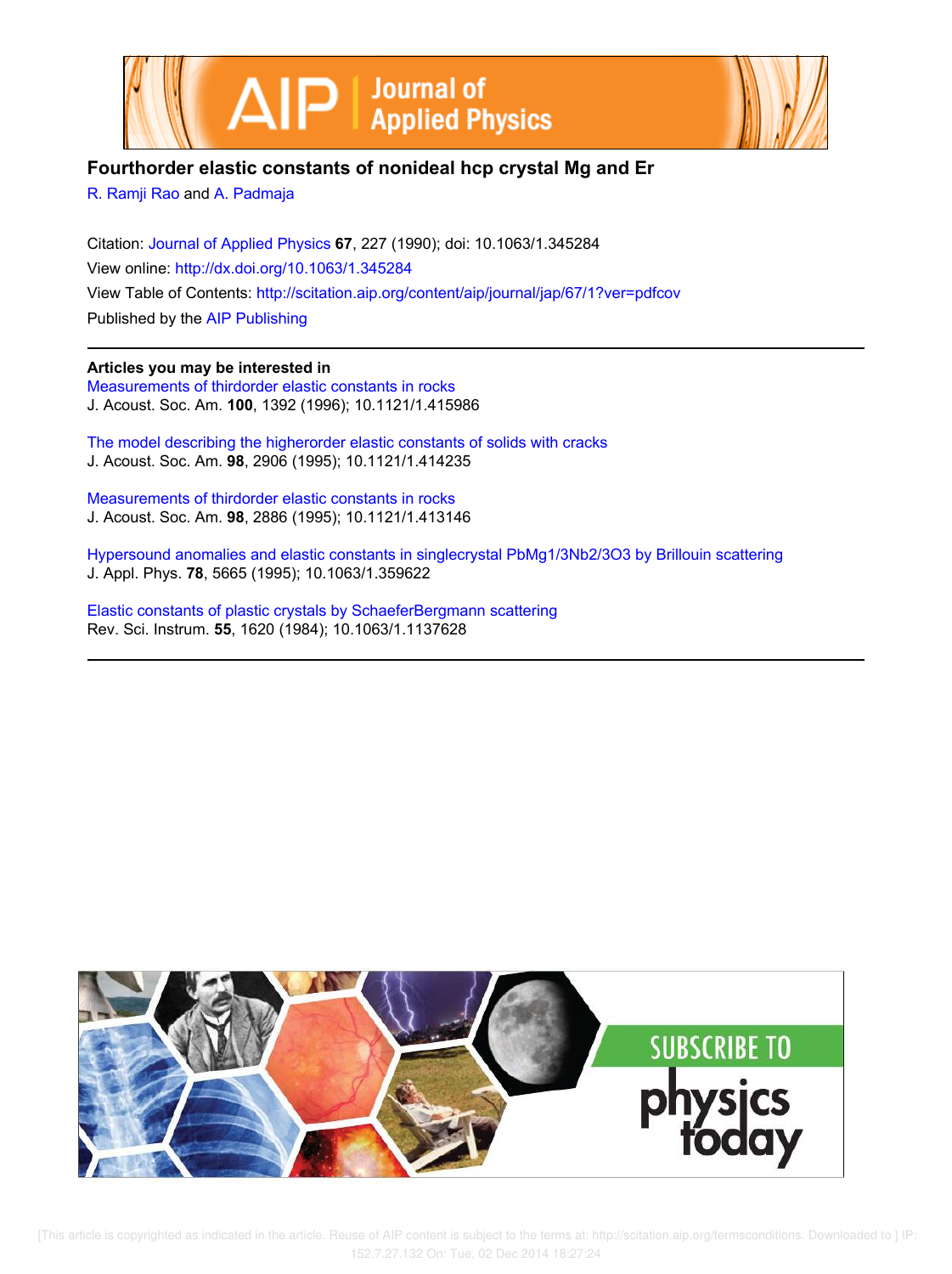



# **Fourthorder elastic constants of nonideal hcp crystal Mg and Er**

R. Ramji Rao and A. Padmaja

Citation: Journal of Applied Physics **67**, 227 (1990); doi: 10.1063/1.345284 View online: http://dx.doi.org/10.1063/1.345284 View Table of Contents: http://scitation.aip.org/content/aip/journal/jap/67/1?ver=pdfcov Published by the AIP Publishing

### **Articles you may be interested in**

Measurements of thirdorder elastic constants in rocks J. Acoust. Soc. Am. **100**, 1392 (1996); 10.1121/1.415986

The model describing the higherorder elastic constants of solids with cracks J. Acoust. Soc. Am. **98**, 2906 (1995); 10.1121/1.414235

Measurements of thirdorder elastic constants in rocks J. Acoust. Soc. Am. **98**, 2886 (1995); 10.1121/1.413146

Hypersound anomalies and elastic constants in singlecrystal PbMg1/3Nb2/3O3 by Brillouin scattering J. Appl. Phys. **78**, 5665 (1995); 10.1063/1.359622

Elastic constants of plastic crystals by SchaeferBergmann scattering Rev. Sci. Instrum. **55**, 1620 (1984); 10.1063/1.1137628



[This article is copyrighted as indicated in the article. Reuse of AIP content is subject to the terms at: http://scitation.aip.org/termsconditions. Downloaded to ] IP: 152.7.27.132 On: Tue, 02 Dec 2014 18:27:24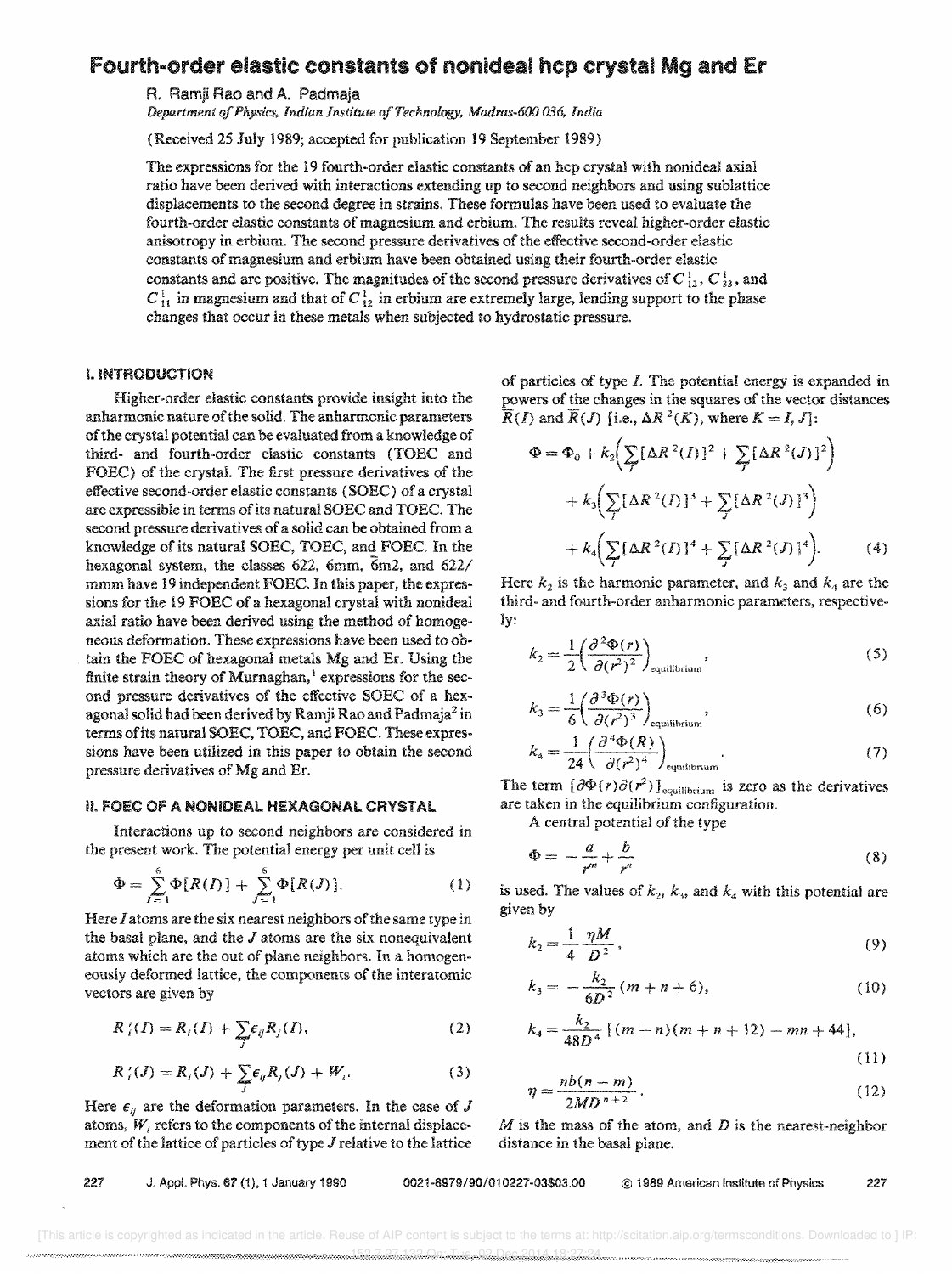## Fourth-order elastic constants of nonideal hcp crystal Mg and Er

R. Ramji Rao and A. Padmaja

*Department of Physics, Indian Institute of Technology, Madras-600 036, India* 

(Received 25 July 1989; accepted for publication 19 September 1989)

The expressions for the 19 fourth-order elastic constants of an hcp crystal with nonideal axial ratio have been derived with interactions extending up to second neighbors and using sublattice displacements to the second degree in strains, These formulas have been used to evaluate the fourth-order elastic constants of magnesium and erbium, The results reveal higher-order elastic anisotropy in erbium. The second pressure derivatives of the effective second-order elastic constants of magnesium and erbium have been obtained using their fourth-order elastic constants and are positive. The magnitudes of the second pressure derivatives of  $C_{12}^1$ ,  $C_{33}^1$ , and  $C_{11}^1$  in magnesium and that of  $C_{12}^1$  in erbium are extremely large, lending support to the phase changes that occur in these metals when subjected to hydrostatic pressure.

#### I. INTRODUCTiON

Higher-order elastic constants provide insight into the anharmonic nature of the solid. The anharmonic parameters of the crystal potential can be evaluated from a knowledge of third- and fourth-order elastic constants (TOEC and FORC) of the crystal. The first pressure derivatives of the effective second-order elastic constants (SOEC) of a crystal are expressible in terms of its natural SOEC and TOEC. The second pressure derivatives of a solid can be obtained from a knowledge of its natural SOEC, TOEC, and FOEC, In the hexagonal system, the classes 622, 6mm, 6m2, and 622/ mmm have 19 independent FOEC, In this paper, the expressions for the 19 FOEC of a hexagonal crystal with nonideal axial ratio have been derived using the method of homogeneous deformation, These expressions have been used to obtain the FOEC of hexagonal metals Mg and Er. Using the finite strain theory of Murnaghan,<sup>1</sup> expressions for the second pressure derivatives of the effective SOEC of a hexagonal solid had been derived by Ramji Rao and Padmaja<sup>2</sup> in terms of its natural SORC, TORC, and FOEC. These expressions have been utilized in this paper to obtain the second pressure derivatives of Mg and Er,

### II. FOEC OF A NONIDEAL HEXAGONAL CRYSTAL

Interactions up to second neighbors are considered in the present work, The potential energy per unit cell is

$$
\Phi = \sum_{I=1}^{6} \Phi[R(I)] + \sum_{J=1}^{6} \Phi[R(J)].
$$
 (1)

Here I atoms are the six nearest neighbors of the same type in the basal plane, and the  $J$  atoms are the six nonequivalent atoms which are the out of plane neighbors. In a homogeneously deformed lattice, the components of the interatomic vectors are given by

$$
R_i'(I) = R_i(I) + \sum_j \epsilon_{ij} R_j(I), \qquad (2)
$$

$$
R'_{i}(J) = R_{i}(J) + \sum_{j} \epsilon_{ij} R_{j}(J) + W_{i}.
$$
 (3)

Here  $\epsilon_{ij}$  are the deformation parameters. In the case of J atoms,  $W_i$  refers to the components of the internal displacement of the lattice of particles of type  $J$  relative to the lattice

of particles of type 1. The potential energy is expanded in powers of the changes in the squares of the vector distances

$$
\overline{R}(I) \text{ and } \overline{R}(J) \text{ [i.e., } \Delta R^2(K), \text{ where } K = I, J: \\
\Phi = \Phi_0 + k_2 \Big( \sum_I (\Delta R^2(I))^2 + \sum_J (\Delta R^2(J))^2 \Big) \\
+ k_3 \Big( \sum_J [\Delta R^2(I)]^3 + \sum_J [\Delta R^2(J)]^3 \Big) \\
+ k_4 \Big( \sum_I (\Delta R^2(I))^4 + \sum_J [\Delta R^2(J)]^4 \Big). \tag{4}
$$

Here  $k_2$  is the harmonic parameter, and  $k_3$  and  $k_4$  are the third- and fourth-order anharmonic parameters, respectively:

$$
k_2 = \frac{1}{2} \left( \frac{\partial^2 \Phi(r)}{\partial (r^2)^2} \right)_{\text{equilibrium}},
$$
\n(5)

$$
k_3 = \frac{1}{6} \left( \frac{\partial^3 \Phi(r)}{\partial (r^2)^3} \right)_{\text{equilibrium}},
$$
 (6)

$$
k_4 = \frac{1}{24} \left( \frac{\partial^4 \Phi(R)}{\partial (r^2)^4} \right)_{\text{equilibrium}}.
$$
 (7)

The term  $\left[\partial \Phi(r) \partial(r^2)\right]_{\text{equilibrium}}$  is zero as the derivatives are taken in the equilibrium configuration.

A central potential of the type

$$
\Phi = -\frac{a}{r^m} + \frac{b}{r^n} \tag{8}
$$

is used. The values of  $k_2$ ,  $k_3$ , and  $k_4$  with this potential are given by

$$
k_2 = \frac{1}{4} \frac{\eta M}{D^2},\tag{9}
$$

$$
k_3 = -\frac{k_2}{6D^2} (m+n+6), \tag{10}
$$

$$
k_4 = \frac{k_2}{48D^4} [(m+n)(m+n+12) - mn + 44],
$$
\n(11)

$$
\eta = \frac{nb(n-m)}{2MD^{n+2}}.
$$
\n(12)

 $M$  is the mass of the atom, and  $D$  is the nearest-neighbor distance in the basal plane,

227 J. Appl. Phys. 67 (1), 1 January 1990 0021-8979/90/010227-03\$03.00 @ 1989 American Institute of Physics 227

 <sup>[</sup>This article is copyrighted as indicated in the article. Reuse of AIP content is subject to the terms at: http://scitation.aip.org/termsconditions. Downloaded to ] IP: 152.7.27.27.132 On: Tue, 152.7.14.27.14.27.14.28.14.28.28.28.28.28.28.28.27.13.27.13.27.14.14.14.14.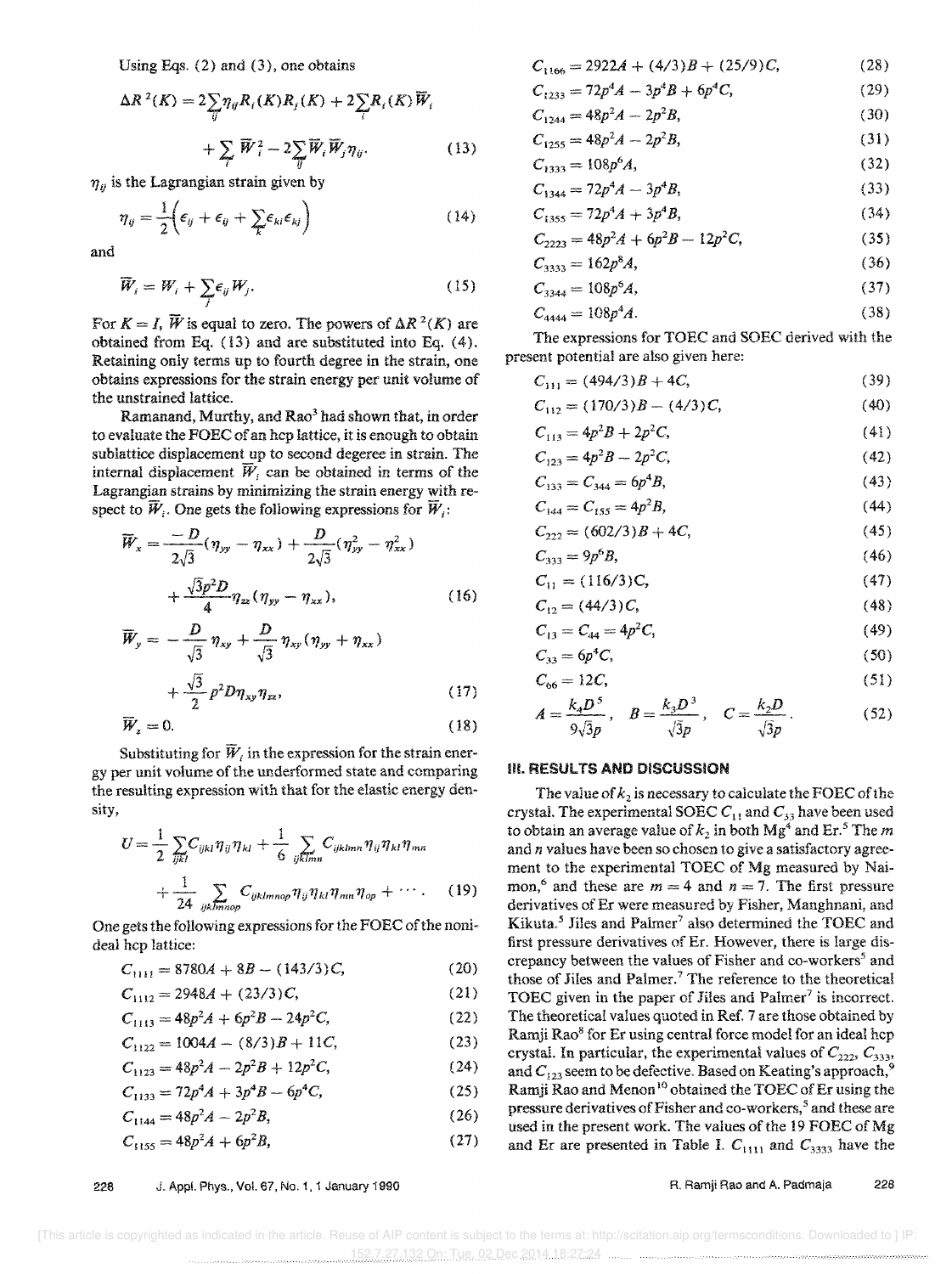Using Eqs. (2) and (3), one obtains

$$
\Delta R^{2}(K) = 2 \sum_{ij} \eta_{ij} R_{i}(K) R_{j}(K) + 2 \sum_{i} R_{i}(K) \overline{W}_{i}
$$

$$
+ \sum_{i} \overline{W}_{i}^{2} - 2 \sum_{ij} \overline{W}_{i} \overline{W}_{j} \eta_{ij}.
$$
 (13)

 $\eta_{ij}$  is the Lagrangian strain given by

$$
\eta_{ij} = \frac{1}{2} \Big( \epsilon_{ij} + \epsilon_{ij} + \sum_{k} \epsilon_{ki} \epsilon_{kj} \Big)
$$
 (14)

and

$$
\widetilde{W}_i = W_i + \sum_j \epsilon_{ij} W_j. \tag{15}
$$

For  $K = I$ ,  $\widetilde{W}$  is equal to zero. The powers of  $\Delta R^2(K)$  are obtained from Eq. (13) and are substituted into Eq. (4). Retaining only terms up to fourth degree in the strain, one obtains expressions for the strain energy per unit volume of the unstrained lattice.

Ramanand, Murthy, and  $Rao<sup>3</sup>$  had shown that, in order to evaluate the FOEC of an hcp lattice, it is enough to obtain sub lattice displacement up to second degeree in strain. The internal displacement  $\overline{W}_i$  can be obtained in terms of the Lagrangian strains by minimizing the strain energy with respect to  $\widetilde{W}_i$ . One gets the following expressions for  $\widetilde{W}_i$ :

$$
\overline{W}_x = \frac{-D}{2\sqrt{3}} (\eta_{yy} - \eta_{xx}) + \frac{D}{2\sqrt{3}} (\eta_{yy}^2 - \eta_{xx}^2)
$$

$$
+ \frac{\sqrt{3}p^2 D}{4} \eta_{zz} (\eta_{yy} - \eta_{xx}), \qquad (16)
$$

$$
\overline{W}_y = -\frac{D}{\sqrt{3}} \eta_{xy} + \frac{D}{\sqrt{3}} \eta_{xy} (\eta_{yy} + \eta_{xx})
$$

$$
+ \frac{\sqrt{3}}{2} p^2 D \eta_{xy} \eta_{zz}, \qquad (17)
$$

$$
\overline{W}_z = 0. \tag{18}
$$

Substituting for  $\overline{W}$ , in the expression for the strain energy per unit volume of the underformed state and comparing the resulting expression with that for the elastic energy density,

$$
U = \frac{1}{2} \sum_{ijkl} C_{ijkl} \eta_{ij} \eta_{kl} + \frac{1}{6} \sum_{ijklmn} C_{ijklmn} \eta_{ij} \eta_{kl} \eta_{mn}
$$

$$
+ \frac{1}{24} \sum_{ijklmnop} C_{ijklmnop} \eta_{ij} \eta_{kl} \eta_{mn} \eta_{op} + \cdots. \qquad (19)
$$

One gets the following expressions for the FOEC of the nonideal hcp lattice:

$$
C_{1111} = 8780A + 8B - (143/3)C, \tag{20}
$$

$$
C_{1112} = 2948A + (23/3)C, \tag{21}
$$

$$
C_{1113} = 48p^2A + 6p^2B - 24p^2C, \qquad (22)
$$

$$
C_{1122} = 1004A - (8/3)B + 11C, \tag{23}
$$

$$
C_{1123} = 48p^2A - 2p^2B + 12p^2C, \qquad (24)
$$

$$
C_{1133} = 72p^4A + 3p^4B - 6p^4C, \tag{25}
$$

$$
C_{1144} = 48p^2A - 2p^2B,
$$
 (26)

$$
C_{1155} = 48p^2A + 6p^2B,
$$
 (27)

 $C_{1166} = 2922A + (4/3)B + (25/9)C$  $72p^4A = 3p^4B + 6p^4C$ (28)

 $(20)$ 

 $\lambda$ 

$$
C_{1233} = 72p \text{ A} - 3p \text{ B} + \text{v}p \text{ C}, \qquad (27)
$$
\n
$$
C = 48n^2 \text{ A} - 3n^2 \text{ B} \qquad (30)
$$

$$
C_{1244} = 43p A - 2p B, \t(30)
$$

$$
C_{1255} = 48p^2A - 2p^2B,
$$
\n(31)

$$
C_{1333} = 100p \, A,\tag{32}
$$
\n
$$
C = 72e^{4} \, A - 2e^{4} \, B
$$
\n
$$
(33)
$$

$$
C_{1344} = 72p^4A - 3p^4B,
$$
\n(33)

$$
C_{1355} = 72p^4A + 3p^4B,
$$
\n(34)

$$
C_{2223} = 48p^2A + 6p^2B - 12p^2C,
$$
\n(35)

$$
C_{3333} = 162p^8A,
$$
 (36)

$$
C_{3344} = 108p^6A,\tag{37}
$$

$$
C_{4444} = 108p^4 A. \tag{38}
$$

The expressions for TOEC and SOEC derived with the present potential are also given here:

$$
C_{111} = (494/3)B + 4C, \t\t(39)
$$

$$
C_{112} = (170/3)B - (4/3)C, \tag{40}
$$

$$
C_{113} = 4p^2B + 2p^2C,
$$
 (41)

$$
C_{123} = 4p^2B - 2p^2C,
$$
 (42)

$$
C_{133} = C_{344} = 6p^4B,\tag{43}
$$

$$
C_{144} = C_{155} = 4p^2B,
$$
 (44)

$$
C_{222} = (602/3)B + 4C, \tag{45}
$$

$$
C_{333} = 9p^6B,\tag{46}
$$

$$
C_{11} = (110/3)C,
$$
\n
$$
C_{11} = (44/3)C
$$
\n(48)

$$
C_{12} = (44/3)C, \t(48)
$$

$$
C_{13} = C_{44} = 4p^2C,
$$
 (49)

$$
C_{33} = 6p^4C,\tag{50}
$$

$$
C_{66} = 12C,\tag{51}
$$

$$
A = \frac{k_4 D^5}{9\sqrt{3}p}, \quad B = \frac{k_3 D^3}{\sqrt{3}p}, \quad C = \frac{k_2 D}{\sqrt{3}p}.
$$
 (52)

#### **III. RESULTS AND DISCUSSION**

The value of  $k_2$  is necessary to calculate the FOEC of the crystal. The experimental SOEC  $C_{11}$  and  $C_{33}$  have been used to obtain an average value of  $k_2$  in both Mg<sup>4</sup> and Er.<sup>5</sup> The *m* and *n* values have been so chosen to give a satisfactory agreement to the experimental TOEC of Mg measured by Naimon,<sup>6</sup> and these are  $m = 4$  and  $n = 7$ . The first pressure derivatives of Er were measured by Fisher, Manghnani, and Kikuta.<sup>5</sup> Jiles and Palmer<sup>7</sup> also determined the TOEC and first pressure derivatives of Er. However, there is large discrepancy between the values of Fisher and co-workers<sup>5</sup> and those of Jiles and Palmer.<sup>7</sup> The reference to the theoretical TOEC given in the paper of Jiles and Palmer<sup>7</sup> is incorrect. The theoretical values quoted in Ref. 7 are those obtained by Ramji Rao<sup>8</sup> for Er using central force model for an ideal hep crystal. In particular, the experimental values of  $C_{222}$ ,  $C_{333}$ , and C<sub>123</sub> seem to be defective. Based on Keating's approach,<sup>9</sup> Ramji Rao and Menon<sup>10</sup> obtained the TOEC of Er using the pressure derivatives of Fisher and co-workers,<sup>5</sup> and these are used in the present work. The values of the 19 FOEC of Mg and Er are presented in Table I.  $C_{1111}$  and  $C_{3333}$  have the

228 J. Appl. Phys., Vol. 67, No.1, 1 January 1990 R. Ramji Rao and A. Padmaja *22B*